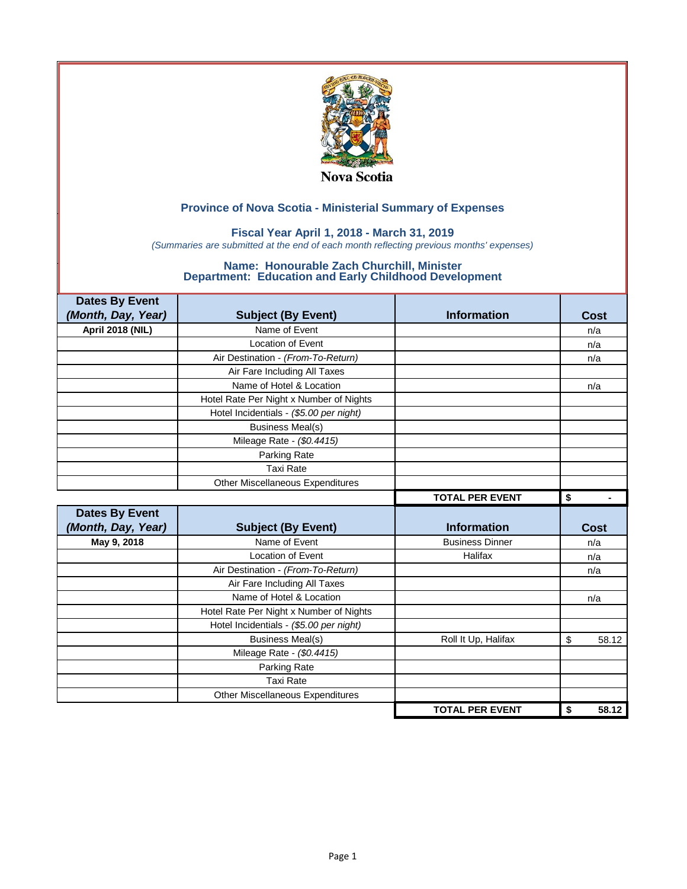

### **Fiscal Year April 1, 2018 - March 31, 2019**

*(Summaries are submitted at the end of each month reflecting previous months' expenses)*

| <b>Dates By Event</b>   |                                         |                        |             |
|-------------------------|-----------------------------------------|------------------------|-------------|
| (Month, Day, Year)      | <b>Subject (By Event)</b>               | <b>Information</b>     | Cost        |
| <b>April 2018 (NIL)</b> | Name of Event                           |                        | n/a         |
|                         | <b>Location of Event</b>                |                        | n/a         |
|                         | Air Destination - (From-To-Return)      |                        | n/a         |
|                         | Air Fare Including All Taxes            |                        |             |
|                         | Name of Hotel & Location                |                        | n/a         |
|                         | Hotel Rate Per Night x Number of Nights |                        |             |
|                         | Hotel Incidentials - (\$5.00 per night) |                        |             |
|                         | <b>Business Meal(s)</b>                 |                        |             |
|                         | Mileage Rate - (\$0.4415)               |                        |             |
|                         | Parking Rate                            |                        |             |
|                         | <b>Taxi Rate</b>                        |                        |             |
|                         | <b>Other Miscellaneous Expenditures</b> |                        |             |
|                         |                                         | <b>TOTAL PER EVENT</b> | \$          |
|                         |                                         |                        |             |
| <b>Dates By Event</b>   |                                         |                        |             |
| (Month, Day, Year)      | <b>Subject (By Event)</b>               | <b>Information</b>     | <b>Cost</b> |
| May 9, 2018             | Name of Event                           | <b>Business Dinner</b> | n/a         |
|                         | <b>Location of Event</b>                | Halifax                | n/a         |
|                         | Air Destination - (From-To-Return)      |                        | n/a         |
|                         | Air Fare Including All Taxes            |                        |             |
|                         | Name of Hotel & Location                |                        | n/a         |
|                         | Hotel Rate Per Night x Number of Nights |                        |             |
|                         | Hotel Incidentials - (\$5.00 per night) |                        |             |
|                         | <b>Business Meal(s)</b>                 | Roll It Up, Halifax    | \$          |
|                         | Mileage Rate - (\$0.4415)               |                        |             |
|                         | Parking Rate                            |                        |             |
|                         | <b>Taxi Rate</b>                        |                        | 58.12       |
|                         | Other Miscellaneous Expenditures        |                        |             |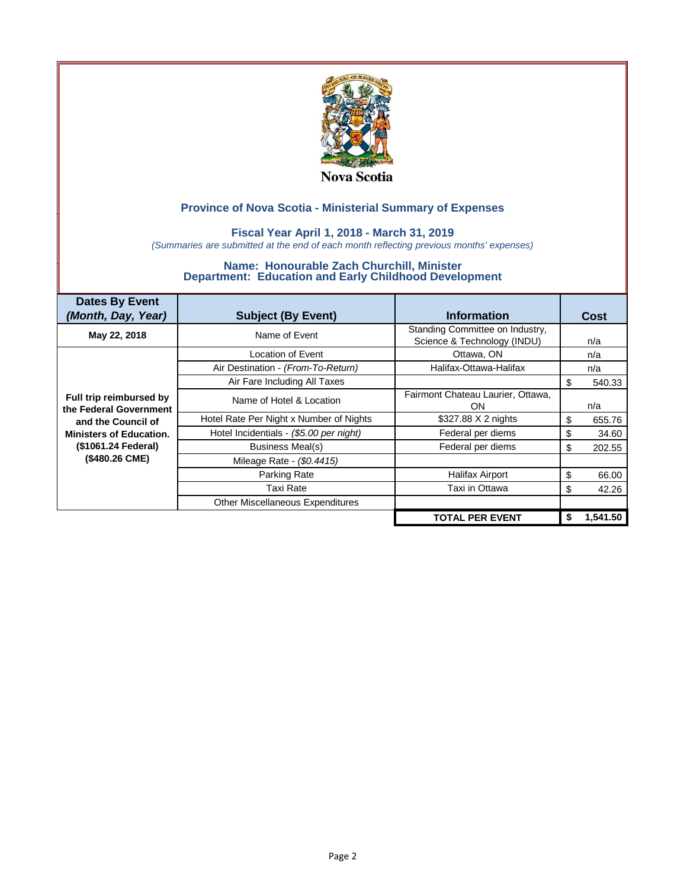

### **Fiscal Year April 1, 2018 - March 31, 2019**

*(Summaries are submitted at the end of each month reflecting previous months' expenses)*

| <b>Dates By Event</b><br>(Month, Day, Year)       | <b>Subject (By Event)</b>               | <b>Information</b>                                             |    | Cost     |
|---------------------------------------------------|-----------------------------------------|----------------------------------------------------------------|----|----------|
| May 22, 2018                                      | Name of Event                           | Standing Committee on Industry.<br>Science & Technology (INDU) |    | n/a      |
|                                                   | Location of Event                       | Ottawa, ON                                                     |    | n/a      |
|                                                   | Air Destination - (From-To-Return)      | Halifax-Ottawa-Halifax                                         |    | n/a      |
|                                                   | Air Fare Including All Taxes            |                                                                | \$ | 540.33   |
| Full trip reimbursed by<br>the Federal Government | Name of Hotel & Location                | Fairmont Chateau Laurier, Ottawa,<br>ON.                       |    | n/a      |
| and the Council of                                | Hotel Rate Per Night x Number of Nights | \$327.88 X 2 nights                                            | \$ | 655.76   |
| <b>Ministers of Education.</b>                    | Hotel Incidentials - (\$5.00 per night) | Federal per diems                                              | \$ | 34.60    |
| (\$1061.24 Federal)                               | Business Meal(s)                        | Federal per diems                                              | \$ | 202.55   |
| (\$480.26 CME)                                    | Mileage Rate - (\$0.4415)               |                                                                |    |          |
|                                                   | Parking Rate                            | <b>Halifax Airport</b>                                         | \$ | 66.00    |
|                                                   | Taxi Rate                               | Taxi in Ottawa                                                 | \$ | 42.26    |
|                                                   | Other Miscellaneous Expenditures        |                                                                |    |          |
|                                                   |                                         | <b>TOTAL PER EVENT</b>                                         | S  | 1.541.50 |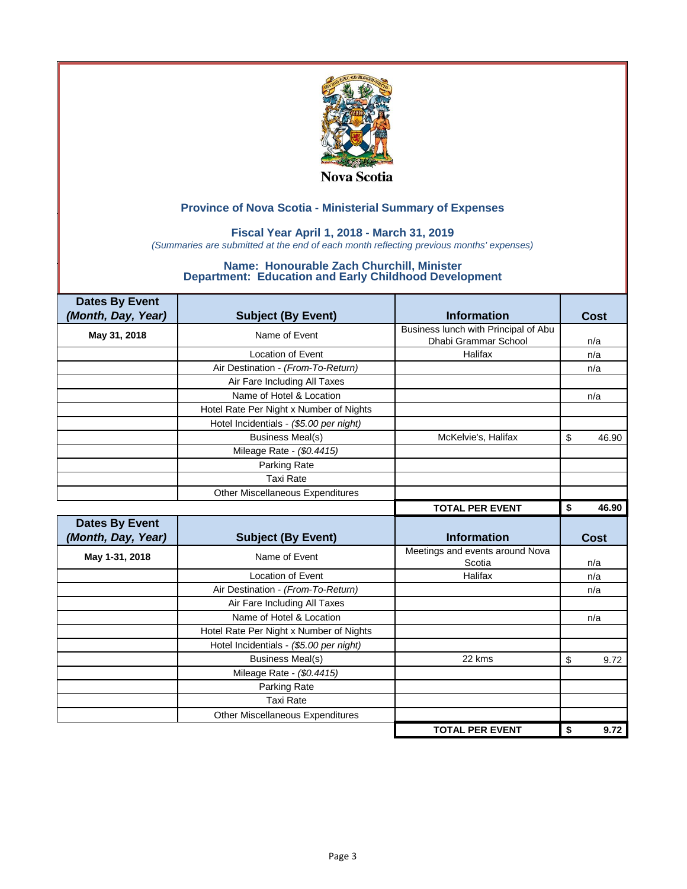

### **Fiscal Year April 1, 2018 - March 31, 2019**

*(Summaries are submitted at the end of each month reflecting previous months' expenses)*

| <b>Dates By Event</b> |                                         |                                      |             |
|-----------------------|-----------------------------------------|--------------------------------------|-------------|
| (Month, Day, Year)    | <b>Subject (By Event)</b>               | <b>Information</b>                   | <b>Cost</b> |
| May 31, 2018          | Name of Event                           | Business lunch with Principal of Abu |             |
|                       |                                         | Dhabi Grammar School                 | n/a         |
|                       | <b>Location of Event</b>                | Halifax                              | n/a         |
|                       | Air Destination - (From-To-Return)      |                                      | n/a         |
|                       | Air Fare Including All Taxes            |                                      |             |
|                       | Name of Hotel & Location                |                                      | n/a         |
|                       | Hotel Rate Per Night x Number of Nights |                                      |             |
|                       | Hotel Incidentials - (\$5.00 per night) |                                      |             |
|                       | <b>Business Meal(s)</b>                 | McKelvie's, Halifax                  | \$<br>46.90 |
|                       | Mileage Rate - (\$0.4415)               |                                      |             |
|                       | Parking Rate                            |                                      |             |
|                       | <b>Taxi Rate</b>                        |                                      |             |
|                       | <b>Other Miscellaneous Expenditures</b> |                                      |             |
|                       |                                         | <b>TOTAL PER EVENT</b>               | \$<br>46.90 |
|                       |                                         |                                      |             |
| <b>Dates By Event</b> |                                         |                                      |             |
| (Month, Day, Year)    | <b>Subject (By Event)</b>               | <b>Information</b>                   | Cost        |
|                       |                                         | Meetings and events around Nova      |             |
| May 1-31, 2018        | Name of Event                           | Scotia                               | n/a         |
|                       | <b>Location of Event</b>                | Halifax                              | n/a         |
|                       | Air Destination - (From-To-Return)      |                                      | n/a         |
|                       | Air Fare Including All Taxes            |                                      |             |
|                       | Name of Hotel & Location                |                                      | n/a         |
|                       | Hotel Rate Per Night x Number of Nights |                                      |             |
|                       | Hotel Incidentials - (\$5.00 per night) |                                      |             |
|                       | <b>Business Meal(s)</b>                 | 22 kms                               | \$<br>9.72  |
|                       | Mileage Rate - (\$0.4415)               |                                      |             |
|                       | Parking Rate                            |                                      |             |
|                       | <b>Taxi Rate</b>                        |                                      |             |
|                       | Other Miscellaneous Expenditures        |                                      |             |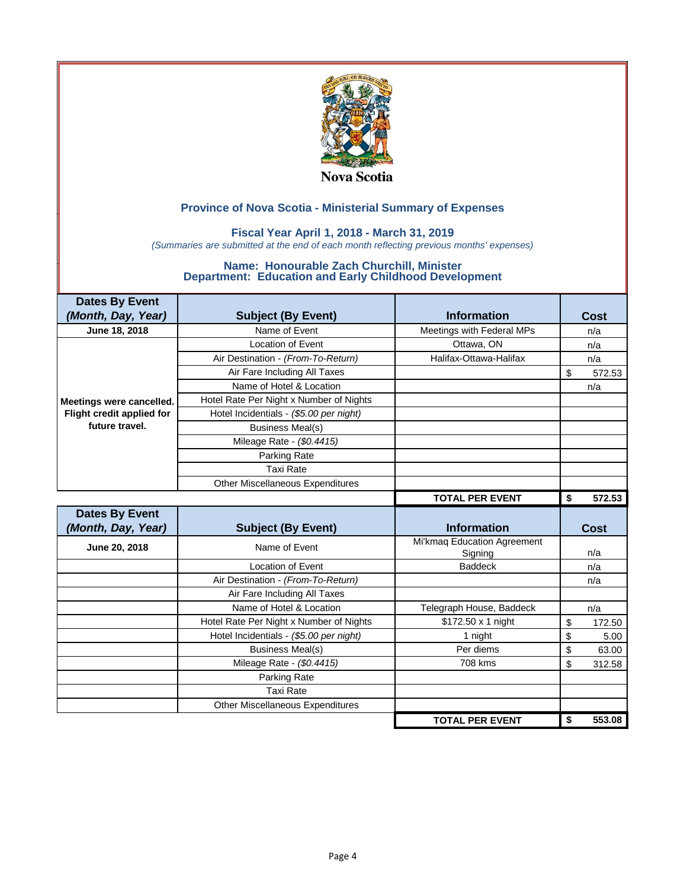

### **Fiscal Year April 1, 2018 - March 31, 2019**

*(Summaries are submitted at the end of each month reflecting previous months' expenses)*

| <b>Dates By Event</b>     |                                         |                                        |              |
|---------------------------|-----------------------------------------|----------------------------------------|--------------|
| (Month, Day, Year)        | <b>Subject (By Event)</b>               | <b>Information</b>                     | Cost         |
| June 18, 2018             | Name of Event                           | Meetings with Federal MPs              | n/a          |
|                           | Location of Event                       | Ottawa, ON                             | n/a          |
|                           | Air Destination - (From-To-Return)      | Halifax-Ottawa-Halifax                 | n/a          |
|                           | Air Fare Including All Taxes            |                                        | \$<br>572.53 |
|                           | Name of Hotel & Location                |                                        | n/a          |
| Meetings were cancelled.  | Hotel Rate Per Night x Number of Nights |                                        |              |
| Flight credit applied for | Hotel Incidentials - (\$5.00 per night) |                                        |              |
| future travel.            | <b>Business Meal(s)</b>                 |                                        |              |
|                           | Mileage Rate - (\$0.4415)               |                                        |              |
|                           | Parking Rate                            |                                        |              |
|                           | <b>Taxi Rate</b>                        |                                        |              |
|                           | Other Miscellaneous Expenditures        |                                        |              |
|                           |                                         | <b>TOTAL PER EVENT</b>                 | 572.53<br>\$ |
|                           |                                         |                                        |              |
| <b>Dates By Event</b>     |                                         |                                        |              |
| (Month, Day, Year)        | <b>Subject (By Event)</b>               | <b>Information</b>                     | Cost         |
| June 20, 2018             | Name of Event                           | Mi'kmaq Education Agreement<br>Signing | n/a          |
|                           | <b>Location of Event</b>                | <b>Baddeck</b>                         | n/a          |
|                           | Air Destination - (From-To-Return)      |                                        | n/a          |
|                           | Air Fare Including All Taxes            |                                        |              |
|                           | Name of Hotel & Location                | Telegraph House, Baddeck               | n/a          |
|                           | Hotel Rate Per Night x Number of Nights | \$172.50 x 1 night                     | \$<br>172.50 |
|                           | Hotel Incidentials - (\$5.00 per night) | 1 night                                | \$<br>5.00   |
|                           | <b>Business Meal(s)</b>                 | Per diems                              | \$<br>63.00  |
|                           | Mileage Rate - (\$0.4415)               | 708 kms                                | \$<br>312.58 |
|                           | Parking Rate                            |                                        |              |
|                           | <b>Taxi Rate</b>                        |                                        |              |
|                           | <b>Other Miscellaneous Expenditures</b> |                                        |              |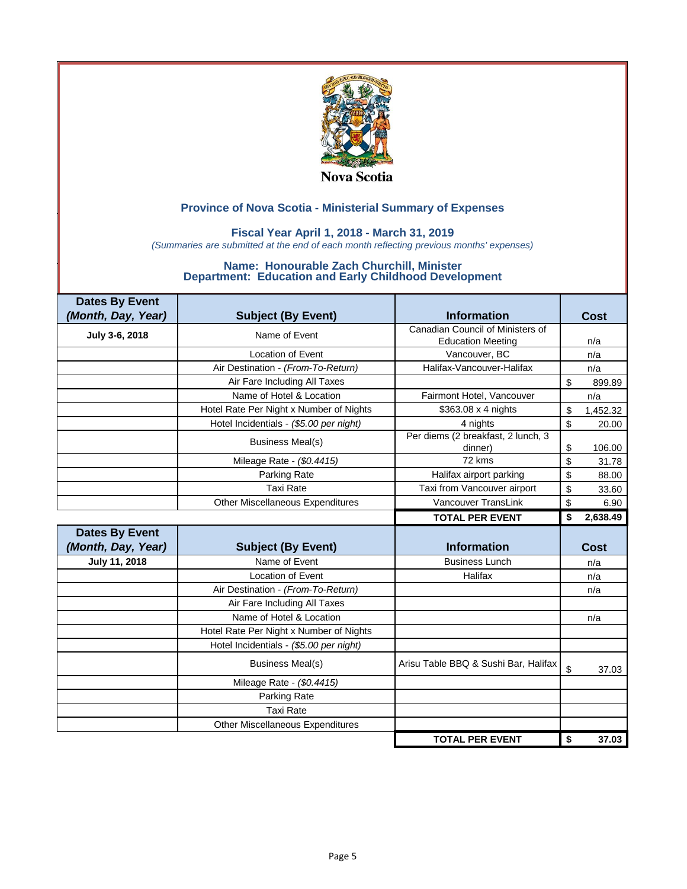

### **Fiscal Year April 1, 2018 - March 31, 2019**

*(Summaries are submitted at the end of each month reflecting previous months' expenses)*

| <b>Dates By Event</b> |                                         |                                               |                          |
|-----------------------|-----------------------------------------|-----------------------------------------------|--------------------------|
| (Month, Day, Year)    | <b>Subject (By Event)</b>               | <b>Information</b>                            | Cost                     |
| July 3-6, 2018        | Name of Event                           | Canadian Council of Ministers of              |                          |
|                       |                                         | <b>Education Meeting</b>                      | n/a                      |
|                       | <b>Location of Event</b>                | Vancouver, BC                                 | n/a                      |
|                       | Air Destination - (From-To-Return)      | Halifax-Vancouver-Halifax                     | n/a                      |
|                       | Air Fare Including All Taxes            |                                               | $\mathfrak{s}$<br>899.89 |
|                       | Name of Hotel & Location                | Fairmont Hotel, Vancouver                     | n/a                      |
|                       | Hotel Rate Per Night x Number of Nights | $$363.08 \times 4$ nights                     | \$<br>1,452.32           |
|                       | Hotel Incidentials - (\$5.00 per night) | 4 nights                                      | \$<br>20.00              |
|                       | <b>Business Meal(s)</b>                 | Per diems (2 breakfast, 2 lunch, 3<br>dinner) | \$<br>106.00             |
|                       | Mileage Rate - (\$0.4415)               | 72 kms                                        | \$<br>31.78              |
|                       | Parking Rate                            | Halifax airport parking                       | \$<br>88.00              |
|                       | <b>Taxi Rate</b>                        | Taxi from Vancouver airport                   | \$<br>33.60              |
|                       | Other Miscellaneous Expenditures        | Vancouver TransLink                           | \$<br>6.90               |
|                       |                                         | <b>TOTAL PER EVENT</b>                        | 2,638.49<br>\$           |
| <b>Dates By Event</b> |                                         |                                               |                          |
| (Month, Day, Year)    | <b>Subject (By Event)</b>               | <b>Information</b>                            | Cost                     |
| July 11, 2018         | Name of Event                           | <b>Business Lunch</b>                         | n/a                      |
|                       | <b>Location of Event</b>                | Halifax                                       | n/a                      |
|                       | Air Destination - (From-To-Return)      |                                               | n/a                      |
|                       | Air Fare Including All Taxes            |                                               |                          |
|                       | Name of Hotel & Location                |                                               | n/a                      |
|                       | Hotel Rate Per Night x Number of Nights |                                               |                          |
|                       | Hotel Incidentials - (\$5.00 per night) |                                               |                          |
|                       | <b>Business Meal(s)</b>                 | Arisu Table BBQ & Sushi Bar, Halifax          | \$<br>37.03              |
|                       | Mileage Rate - (\$0.4415)               |                                               |                          |
|                       | Parking Rate                            |                                               |                          |
|                       | <b>Taxi Rate</b>                        |                                               |                          |
|                       | Other Miscellaneous Expenditures        |                                               |                          |
|                       |                                         |                                               |                          |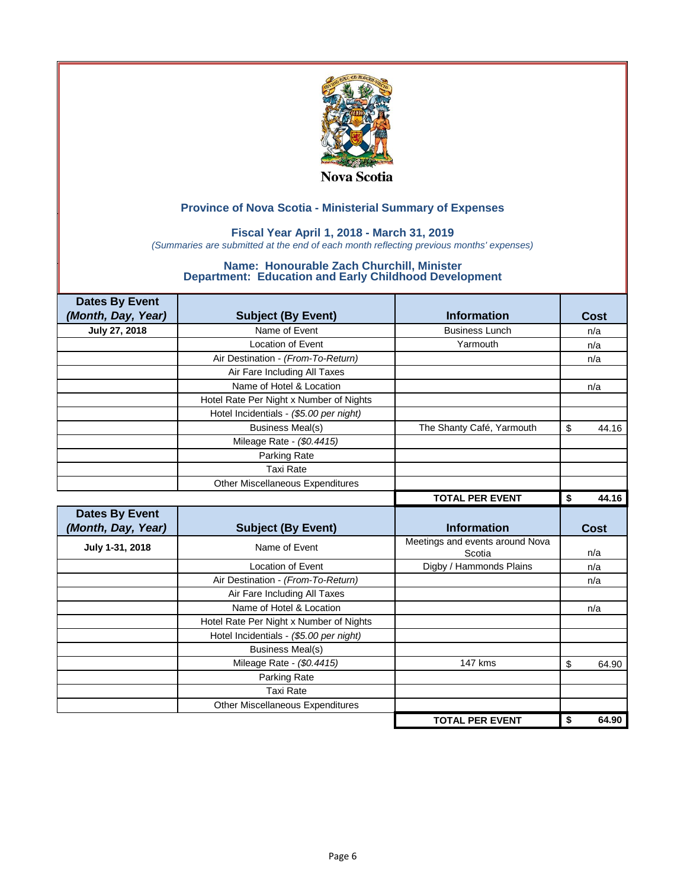

### **Fiscal Year April 1, 2018 - March 31, 2019**

*(Summaries are submitted at the end of each month reflecting previous months' expenses)*

| <b>Dates By Event</b> |                                         |                                           |             |
|-----------------------|-----------------------------------------|-------------------------------------------|-------------|
| (Month, Day, Year)    | <b>Subject (By Event)</b>               | <b>Information</b>                        | Cost        |
| July 27, 2018         | Name of Event                           | <b>Business Lunch</b>                     | n/a         |
|                       | Location of Event                       | Yarmouth                                  | n/a         |
|                       | Air Destination - (From-To-Return)      |                                           | n/a         |
|                       | Air Fare Including All Taxes            |                                           |             |
|                       | Name of Hotel & Location                |                                           | n/a         |
|                       | Hotel Rate Per Night x Number of Nights |                                           |             |
|                       | Hotel Incidentials - (\$5.00 per night) |                                           |             |
|                       | <b>Business Meal(s)</b>                 | The Shanty Café, Yarmouth                 | \$<br>44.16 |
|                       | Mileage Rate - (\$0.4415)               |                                           |             |
|                       | Parking Rate                            |                                           |             |
|                       | Taxi Rate                               |                                           |             |
|                       | <b>Other Miscellaneous Expenditures</b> |                                           |             |
|                       |                                         | <b>TOTAL PER EVENT</b>                    | \$<br>44.16 |
|                       |                                         |                                           |             |
| <b>Dates By Event</b> |                                         |                                           |             |
| (Month, Day, Year)    | <b>Subject (By Event)</b>               | <b>Information</b>                        | Cost        |
| July 1-31, 2018       | Name of Event                           | Meetings and events around Nova<br>Scotia | n/a         |
|                       | <b>Location of Event</b>                | Digby / Hammonds Plains                   | n/a         |
|                       | Air Destination - (From-To-Return)      |                                           | n/a         |
|                       | Air Fare Including All Taxes            |                                           |             |
|                       | Name of Hotel & Location                |                                           | n/a         |
|                       | Hotel Rate Per Night x Number of Nights |                                           |             |
|                       | Hotel Incidentials - (\$5.00 per night) |                                           |             |
|                       | <b>Business Meal(s)</b>                 |                                           |             |
|                       | Mileage Rate - (\$0.4415)               | 147 kms                                   | \$<br>64.90 |
|                       | Parking Rate                            |                                           |             |
|                       | <b>Taxi Rate</b>                        |                                           |             |
|                       | <b>Other Miscellaneous Expenditures</b> |                                           |             |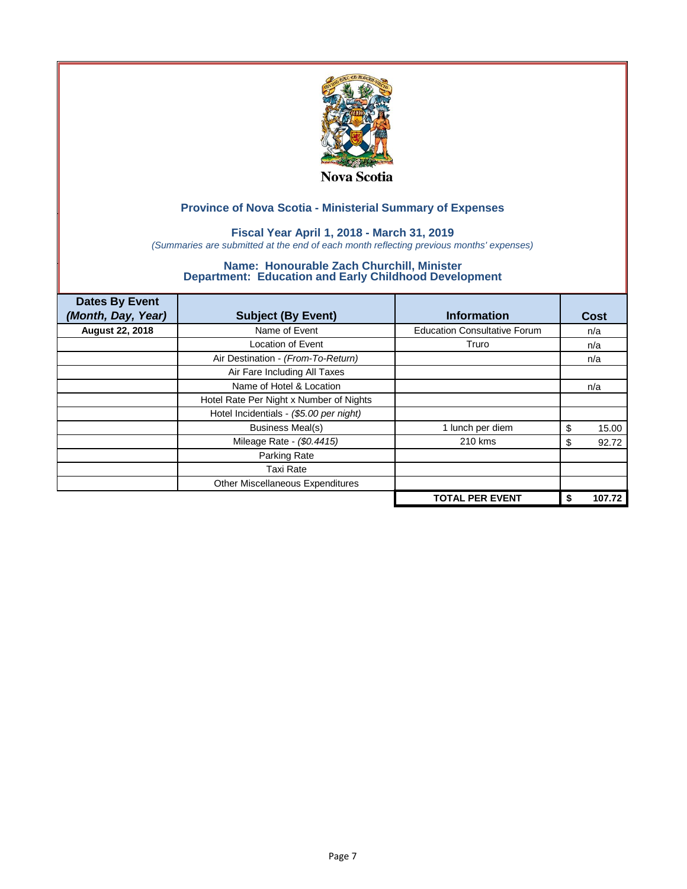

## **Fiscal Year April 1, 2018 - March 31, 2019**

*(Summaries are submitted at the end of each month reflecting previous months' expenses)*

| <b>Dates By Event</b><br>(Month, Day, Year) | <b>Subject (By Event)</b>               | <b>Information</b>                  | Cost         |
|---------------------------------------------|-----------------------------------------|-------------------------------------|--------------|
| <b>August 22, 2018</b>                      | Name of Event                           | <b>Education Consultative Forum</b> | n/a          |
|                                             | <b>Location of Event</b>                | Truro                               | n/a          |
|                                             | Air Destination - (From-To-Return)      |                                     | n/a          |
|                                             | Air Fare Including All Taxes            |                                     |              |
|                                             | Name of Hotel & Location                |                                     | n/a          |
|                                             | Hotel Rate Per Night x Number of Nights |                                     |              |
|                                             | Hotel Incidentials - (\$5.00 per night) |                                     |              |
|                                             | <b>Business Meal(s)</b>                 | 1 lunch per diem                    | 15.00<br>\$  |
|                                             | Mileage Rate - (\$0.4415)               | 210 kms                             | 92.72<br>S   |
|                                             | Parking Rate                            |                                     |              |
|                                             | <b>Taxi Rate</b>                        |                                     |              |
|                                             | Other Miscellaneous Expenditures        |                                     |              |
|                                             |                                         | <b>TOTAL PER EVENT</b>              | 107.72<br>\$ |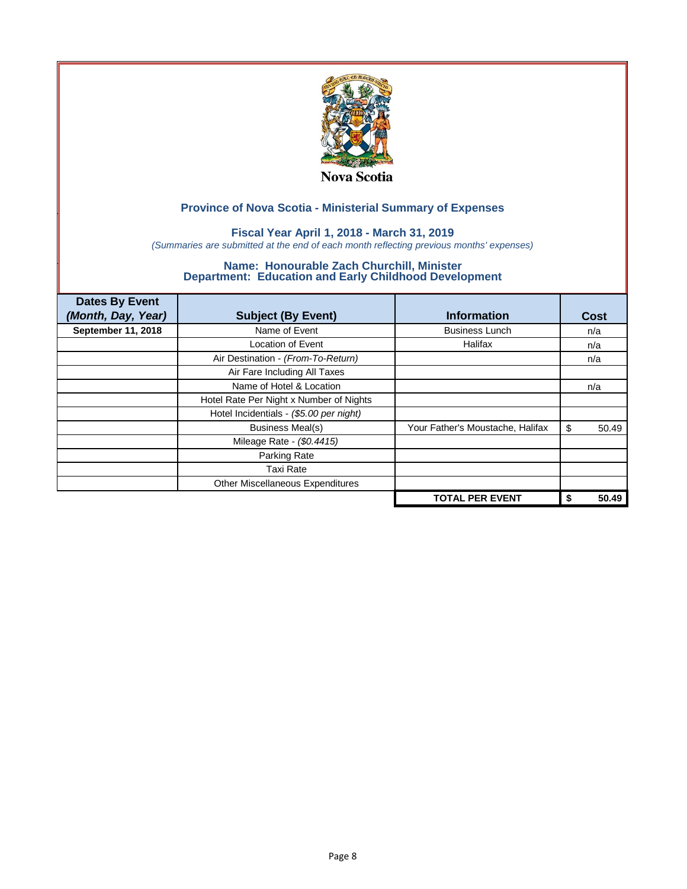

## **Fiscal Year April 1, 2018 - March 31, 2019**

*(Summaries are submitted at the end of each month reflecting previous months' expenses)*

| <b>Dates By Event</b><br>(Month, Day, Year) | <b>Subject (By Event)</b>               | <b>Information</b>               | Cost        |
|---------------------------------------------|-----------------------------------------|----------------------------------|-------------|
| September 11, 2018                          | Name of Event                           | <b>Business Lunch</b>            | n/a         |
|                                             | <b>Location of Event</b>                | Halifax                          | n/a         |
|                                             | Air Destination - (From-To-Return)      |                                  | n/a         |
|                                             | Air Fare Including All Taxes            |                                  |             |
|                                             | Name of Hotel & Location                |                                  | n/a         |
|                                             | Hotel Rate Per Night x Number of Nights |                                  |             |
|                                             | Hotel Incidentials - (\$5.00 per night) |                                  |             |
|                                             | <b>Business Meal(s)</b>                 | Your Father's Moustache, Halifax | \$<br>50.49 |
|                                             | Mileage Rate - (\$0.4415)               |                                  |             |
|                                             | Parking Rate                            |                                  |             |
|                                             | Taxi Rate                               |                                  |             |
|                                             | Other Miscellaneous Expenditures        |                                  |             |
|                                             |                                         | <b>TOTAL PER EVENT</b>           | 50.49<br>\$ |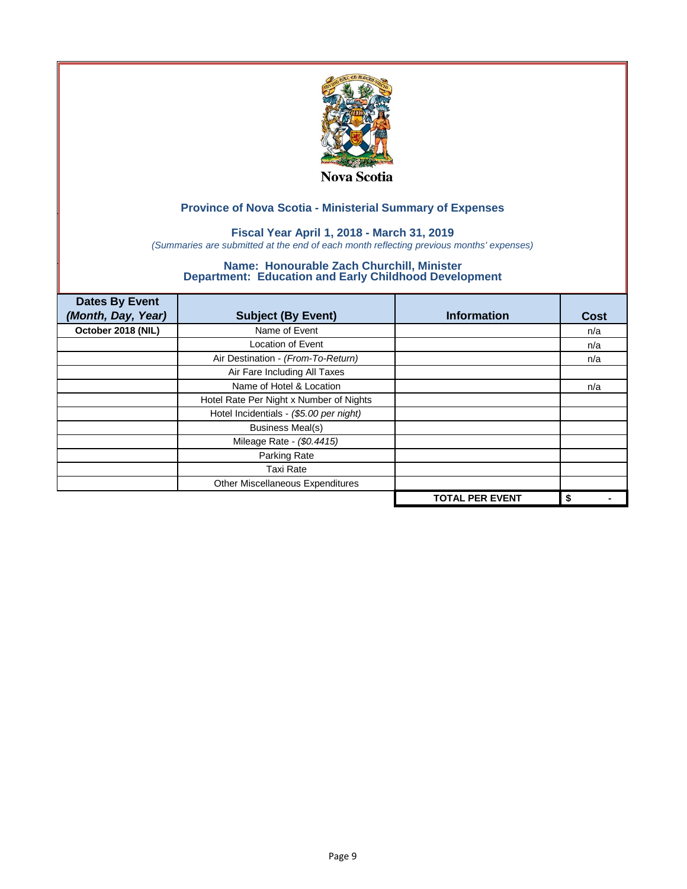

## **Fiscal Year April 1, 2018 - March 31, 2019**

*(Summaries are submitted at the end of each month reflecting previous months' expenses)*

| <b>Dates By Event</b><br>(Month, Day, Year) | <b>Subject (By Event)</b>               | <b>Information</b>     | <b>Cost</b> |
|---------------------------------------------|-----------------------------------------|------------------------|-------------|
| October 2018 (NIL)                          | Name of Event                           |                        | n/a         |
|                                             | <b>Location of Event</b>                |                        | n/a         |
|                                             | Air Destination - (From-To-Return)      |                        | n/a         |
|                                             | Air Fare Including All Taxes            |                        |             |
|                                             | Name of Hotel & Location                |                        | n/a         |
|                                             | Hotel Rate Per Night x Number of Nights |                        |             |
|                                             | Hotel Incidentials - (\$5.00 per night) |                        |             |
|                                             | <b>Business Meal(s)</b>                 |                        |             |
|                                             | Mileage Rate - (\$0.4415)               |                        |             |
|                                             | Parking Rate                            |                        |             |
|                                             | <b>Taxi Rate</b>                        |                        |             |
|                                             | Other Miscellaneous Expenditures        |                        |             |
|                                             |                                         | <b>TOTAL PER EVENT</b> | \$          |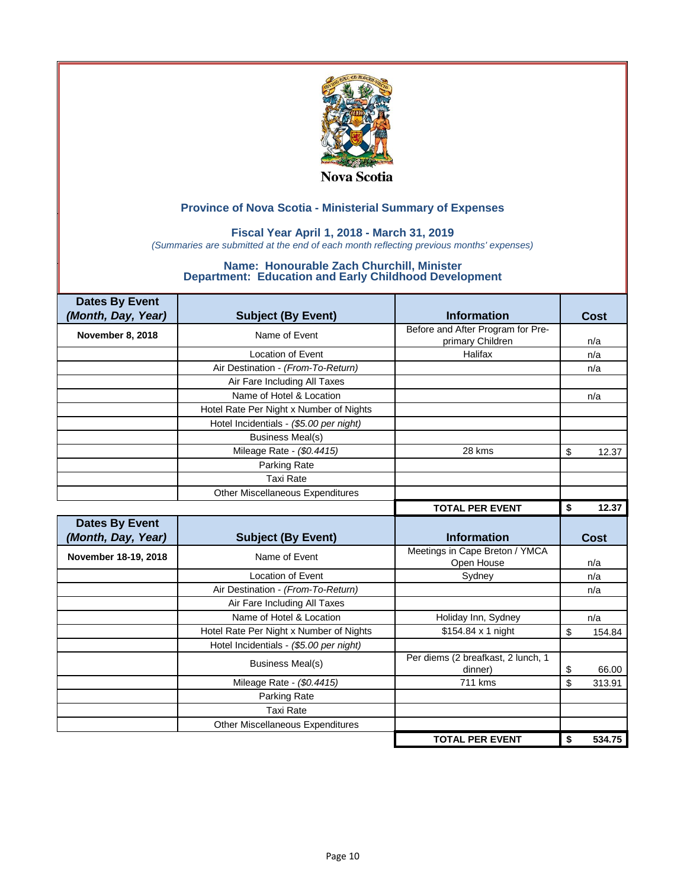

### **Fiscal Year April 1, 2018 - March 31, 2019**

*(Summaries are submitted at the end of each month reflecting previous months' expenses)*

| <b>Dates By Event</b> |                                         |                                               |              |
|-----------------------|-----------------------------------------|-----------------------------------------------|--------------|
| (Month, Day, Year)    | <b>Subject (By Event)</b>               | <b>Information</b>                            | Cost         |
| November 8, 2018      | Name of Event                           | Before and After Program for Pre-             |              |
|                       |                                         | primary Children                              | n/a          |
|                       | <b>Location of Event</b>                | Halifax                                       | n/a          |
|                       | Air Destination - (From-To-Return)      |                                               | n/a          |
|                       | Air Fare Including All Taxes            |                                               |              |
|                       | Name of Hotel & Location                |                                               | n/a          |
|                       | Hotel Rate Per Night x Number of Nights |                                               |              |
|                       | Hotel Incidentials - (\$5.00 per night) |                                               |              |
|                       | <b>Business Meal(s)</b>                 |                                               |              |
|                       | Mileage Rate - (\$0.4415)               | 28 kms                                        | \$<br>12.37  |
|                       | Parking Rate                            |                                               |              |
|                       | <b>Taxi Rate</b>                        |                                               |              |
|                       | Other Miscellaneous Expenditures        |                                               |              |
|                       |                                         | <b>TOTAL PER EVENT</b>                        | \$<br>12.37  |
|                       |                                         |                                               |              |
| <b>Dates By Event</b> |                                         |                                               |              |
| (Month, Day, Year)    | <b>Subject (By Event)</b>               | <b>Information</b>                            | <b>Cost</b>  |
| November 18-19, 2018  | Name of Event                           | Meetings in Cape Breton / YMCA<br>Open House  | n/a          |
|                       | Location of Event                       | Sydney                                        | n/a          |
|                       | Air Destination - (From-To-Return)      |                                               | n/a          |
|                       | Air Fare Including All Taxes            |                                               |              |
|                       | Name of Hotel & Location                | Holiday Inn, Sydney                           | n/a          |
|                       | Hotel Rate Per Night x Number of Nights | \$154.84 x 1 night                            | \$<br>154.84 |
|                       | Hotel Incidentials - (\$5.00 per night) |                                               |              |
|                       | <b>Business Meal(s)</b>                 | Per diems (2 breafkast, 2 lunch, 1<br>dinner) | \$<br>66.00  |
|                       | Mileage Rate - (\$0.4415)               | 711 kms                                       | \$<br>313.91 |
|                       | Parking Rate                            |                                               |              |
|                       | <b>Taxi Rate</b>                        |                                               |              |
|                       | Other Miscellaneous Expenditures        |                                               |              |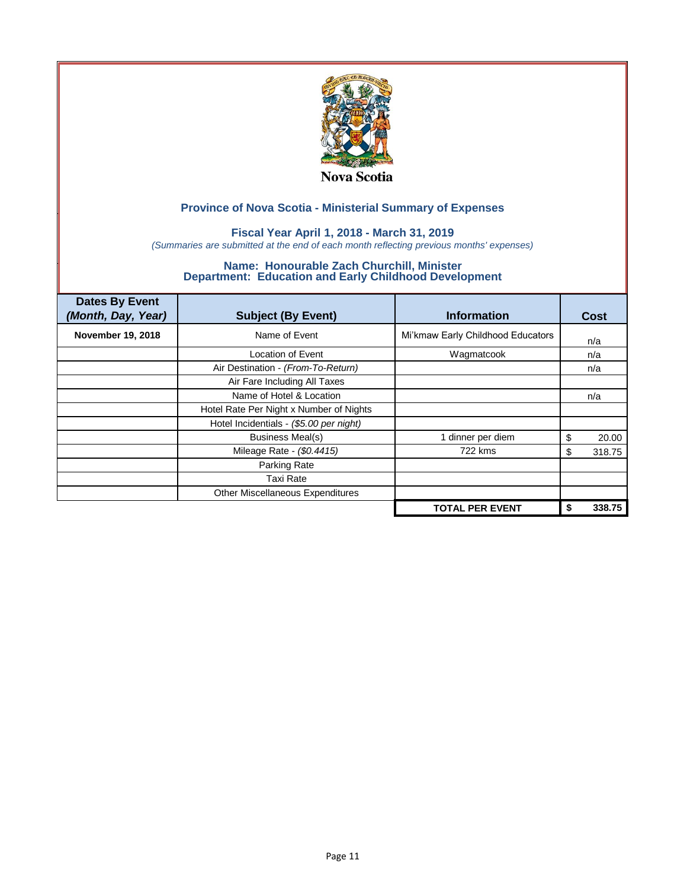

### **Fiscal Year April 1, 2018 - March 31, 2019**

*(Summaries are submitted at the end of each month reflecting previous months' expenses)*

| <b>Dates By Event</b><br>(Month, Day, Year) | <b>Subject (By Event)</b>               | <b>Information</b>                | Cost        |
|---------------------------------------------|-----------------------------------------|-----------------------------------|-------------|
| <b>November 19, 2018</b>                    | Name of Event                           | Mi'kmaw Early Childhood Educators | n/a         |
|                                             | Location of Event                       | Wagmatcook                        | n/a         |
|                                             | Air Destination - (From-To-Return)      |                                   | n/a         |
|                                             | Air Fare Including All Taxes            |                                   |             |
|                                             | Name of Hotel & Location                |                                   | n/a         |
|                                             | Hotel Rate Per Night x Number of Nights |                                   |             |
|                                             | Hotel Incidentials - (\$5.00 per night) |                                   |             |
|                                             | <b>Business Meal(s)</b>                 | dinner per diem                   | 20.00<br>S  |
|                                             | Mileage Rate - (\$0.4415)               | 722 kms                           | 318.75<br>S |
|                                             | Parking Rate                            |                                   |             |
|                                             | Taxi Rate                               |                                   |             |
|                                             | Other Miscellaneous Expenditures        |                                   |             |
|                                             |                                         | <b>TOTAL PER EVENT</b>            | 338.75      |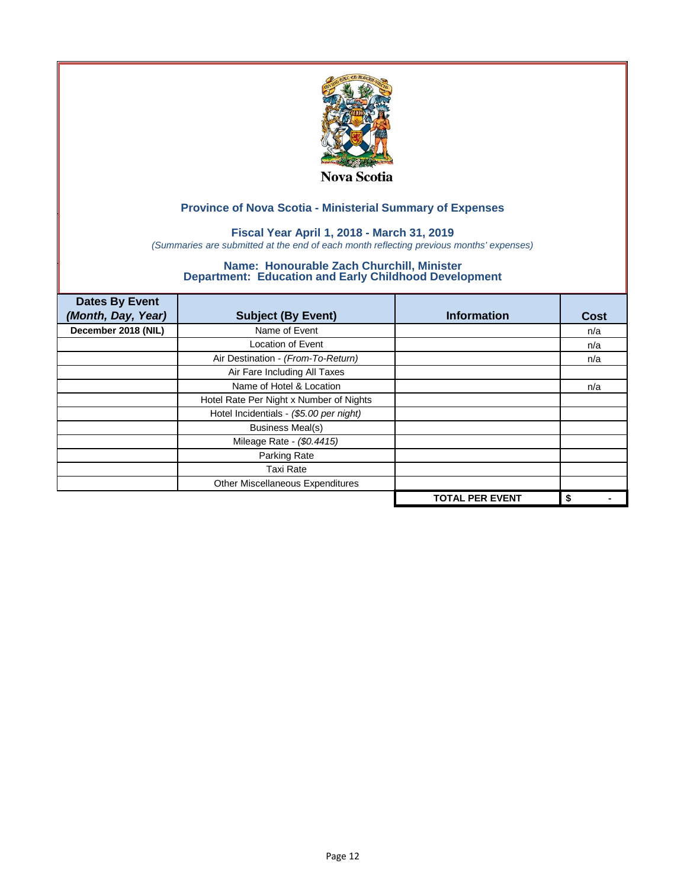

## **Fiscal Year April 1, 2018 - March 31, 2019**

*(Summaries are submitted at the end of each month reflecting previous months' expenses)*

| <b>Dates By Event</b><br>(Month, Day, Year) | <b>Subject (By Event)</b>               | <b>Information</b>     | <b>Cost</b> |
|---------------------------------------------|-----------------------------------------|------------------------|-------------|
| December 2018 (NIL)                         | Name of Event                           |                        | n/a         |
|                                             | <b>Location of Event</b>                |                        | n/a         |
|                                             | Air Destination - (From-To-Return)      |                        | n/a         |
|                                             | Air Fare Including All Taxes            |                        |             |
|                                             | Name of Hotel & Location                |                        | n/a         |
|                                             | Hotel Rate Per Night x Number of Nights |                        |             |
|                                             | Hotel Incidentials - (\$5.00 per night) |                        |             |
|                                             | <b>Business Meal(s)</b>                 |                        |             |
|                                             | Mileage Rate - (\$0.4415)               |                        |             |
|                                             | Parking Rate                            |                        |             |
|                                             | <b>Taxi Rate</b>                        |                        |             |
|                                             | Other Miscellaneous Expenditures        |                        |             |
|                                             |                                         | <b>TOTAL PER EVENT</b> | \$          |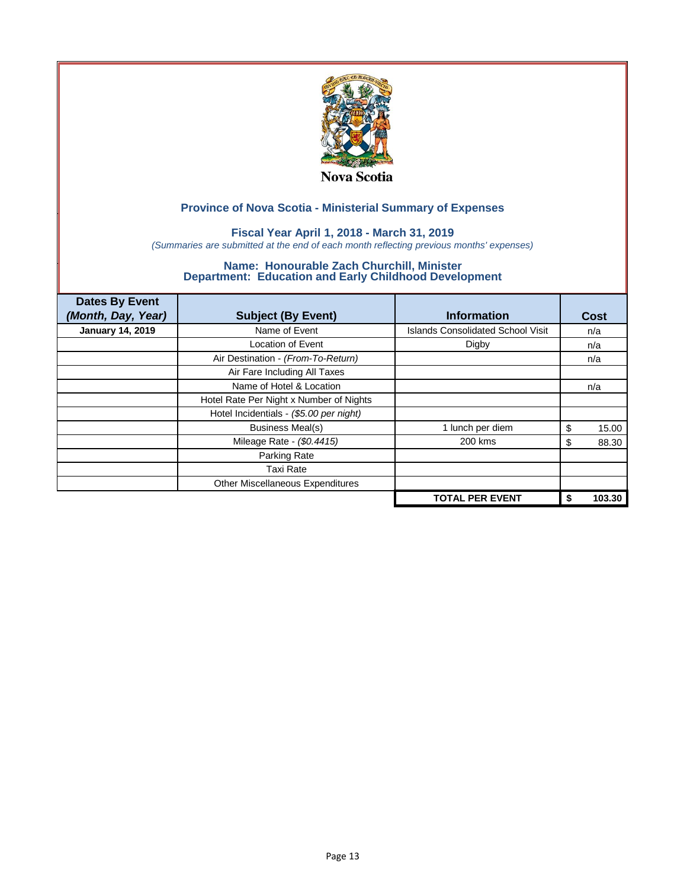

## **Fiscal Year April 1, 2018 - March 31, 2019**

*(Summaries are submitted at the end of each month reflecting previous months' expenses)*

| <b>Dates By Event</b><br>(Month, Day, Year) | <b>Subject (By Event)</b>               | <b>Information</b>                       | Cost       |
|---------------------------------------------|-----------------------------------------|------------------------------------------|------------|
| <b>January 14, 2019</b>                     | Name of Event                           | <b>Islands Consolidated School Visit</b> | n/a        |
|                                             | <b>Location of Event</b>                | Digby                                    | n/a        |
|                                             | Air Destination - (From-To-Return)      |                                          | n/a        |
|                                             | Air Fare Including All Taxes            |                                          |            |
|                                             | Name of Hotel & Location                |                                          | n/a        |
|                                             | Hotel Rate Per Night x Number of Nights |                                          |            |
|                                             | Hotel Incidentials - (\$5.00 per night) |                                          |            |
|                                             | <b>Business Meal(s)</b>                 | 1 lunch per diem                         | 15.00<br>S |
|                                             | Mileage Rate - (\$0.4415)               | 200 kms                                  | 88.30<br>S |
|                                             | Parking Rate                            |                                          |            |
|                                             | <b>Taxi Rate</b>                        |                                          |            |
|                                             | Other Miscellaneous Expenditures        |                                          |            |
|                                             |                                         | <b>TOTAL PER EVENT</b>                   | 103.30     |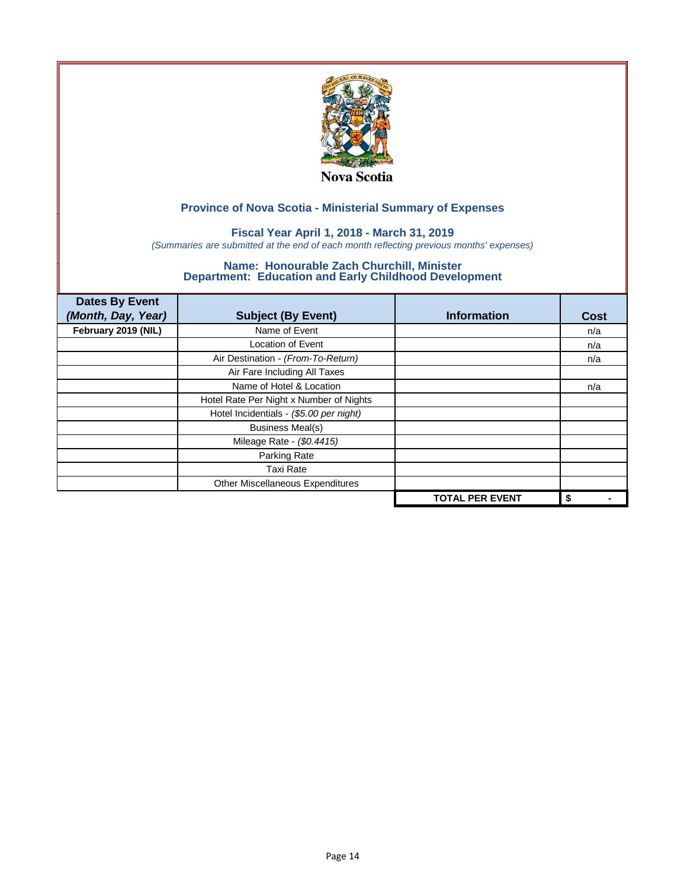

### **Fiscal Year April 1, 2018 - March 31, 2019**

*(Summaries are submitted at the end of each month reflecting previous months' expenses)*

| <b>Dates By Event</b><br>(Month, Day, Year) | <b>Subject (By Event)</b>               | <b>Information</b>     | <b>Cost</b> |
|---------------------------------------------|-----------------------------------------|------------------------|-------------|
| February 2019 (NIL)                         | Name of Event                           |                        | n/a         |
|                                             | <b>Location of Event</b>                |                        | n/a         |
|                                             | Air Destination - (From-To-Return)      |                        | n/a         |
|                                             | Air Fare Including All Taxes            |                        |             |
|                                             | Name of Hotel & Location                |                        | n/a         |
|                                             | Hotel Rate Per Night x Number of Nights |                        |             |
|                                             | Hotel Incidentials - (\$5.00 per night) |                        |             |
|                                             | <b>Business Meal(s)</b>                 |                        |             |
|                                             | Mileage Rate - (\$0.4415)               |                        |             |
|                                             | Parking Rate                            |                        |             |
|                                             | <b>Taxi Rate</b>                        |                        |             |
|                                             | Other Miscellaneous Expenditures        |                        |             |
|                                             |                                         | <b>TOTAL PER EVENT</b> | \$          |